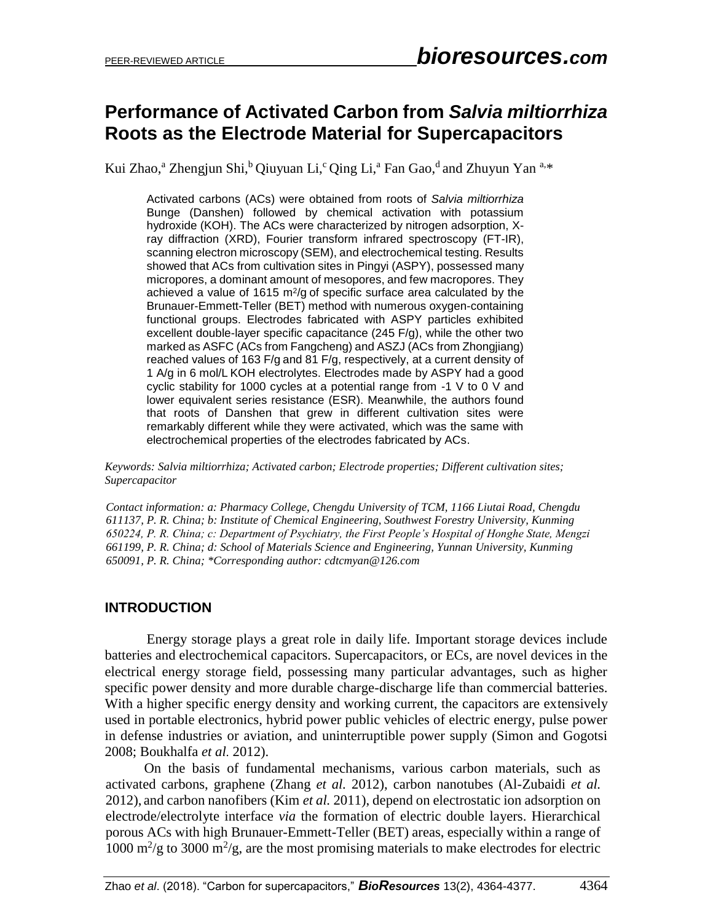# **Performance of Activated Carbon from** *Salvia miltiorrhiza* **Roots as the Electrode Material for Supercapacitors**

Kui Zhao,<sup>a</sup> Zhengjun Shi,<sup>b</sup> Qiuyuan Li,<sup>c</sup> Qing Li,<sup>a</sup> Fan Gao,<sup>d</sup> and Zhuyun Yan <sup>a,\*</sup>

Activated carbons (ACs) were obtained from roots of *Salvia miltiorrhiza* Bunge (Danshen) followed by chemical activation with potassium hydroxide (KOH). The ACs were characterized by nitrogen adsorption, Xray diffraction (XRD), Fourier transform infrared spectroscopy (FT-IR), scanning electron microscopy (SEM), and electrochemical testing. Results showed that ACs from cultivation sites in Pingyi (ASPY), possessed many micropores, a dominant amount of mesopores, and few macropores. They achieved a value of 1615  $m^2$ /g of specific surface area calculated by the Brunauer-Emmett-Teller (BET) method with numerous oxygen-containing functional groups. Electrodes fabricated with ASPY particles exhibited excellent double-layer specific capacitance (245 F/g), while the other two marked as ASFC (ACs from Fangcheng) and ASZJ (ACs from Zhongjiang) reached values of 163 F/g and 81 F/g, respectively, at a current density of 1 A/g in 6 mol/L KOH electrolytes. Electrodes made by ASPY had a good cyclic stability for 1000 cycles at a potential range from -1 V to 0 V and lower equivalent series resistance (ESR). Meanwhile, the authors found that roots of Danshen that grew in different cultivation sites were remarkably different while they were activated, which was the same with electrochemical properties of the electrodes fabricated by ACs.

*Keywords: Salvia miltiorrhiza; Activated carbon; Electrode properties; Different cultivation sites; Supercapacitor*

*Contact information: a: Pharmacy College, Chengdu University of TCM, 1166 Liutai Road, Chengdu 611137, P. R. China; b: Institute of Chemical Engineering, Southwest Forestry University, Kunming 650224, P. R. China; c: Department of Psychiatry, the First People's Hospital of Honghe State, Mengzi 661199, P. R. China; d: School of Materials Science and Engineering, Yunnan University, Kunming 650091, P. R. China; \*Corresponding author: cdtcmyan@126.com*

### **INTRODUCTION**

Energy storage plays a great role in daily life. Important storage devices include batteries and electrochemical capacitors. Supercapacitors, or ECs, are novel devices in the electrical energy storage field, possessing many particular advantages, such as higher specific power density and more durable charge-discharge life than commercial batteries. With a higher specific energy density and working current, the capacitors are extensively used in portable electronics, hybrid power public vehicles of electric energy, pulse power in defense industries or aviation, and uninterruptible power supply (Simon and Gogotsi 2008; Boukhalfa *et al.* 2012).

On the basis of fundamental mechanisms, various carbon materials, such as activated carbons, graphene (Zhang *et al.* 2012), carbon nanotubes (Al-Zubaidi *et al.* 2012), and carbon nanofibers (Kim *et al.* 2011), depend on electrostatic ion adsorption on electrode/electrolyte interface *via* the formation of electric double layers. Hierarchical porous ACs with high Brunauer-Emmett-Teller (BET) areas, especially within a range of 1000  $\mathrm{m}^2/\mathrm{g}$  to 3000  $\mathrm{m}^2/\mathrm{g}$ , are the most promising materials to make electrodes for electric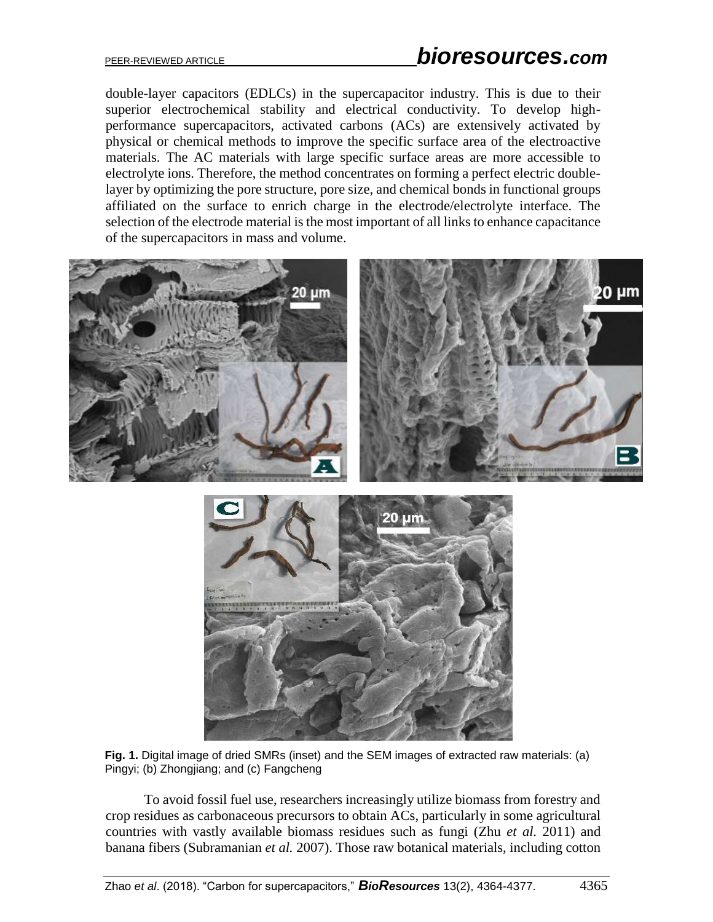double-layer capacitors (EDLCs) in the supercapacitor industry. This is due to their superior electrochemical stability and electrical conductivity. To develop highperformance supercapacitors, activated carbons (ACs) are extensively activated by physical or chemical methods to improve the specific surface area of the electroactive materials. The AC materials with large specific surface areas are more accessible to electrolyte ions. Therefore, the method concentrates on forming a perfect electric doublelayer by optimizing the pore structure, pore size, and chemical bonds in functional groups affiliated on the surface to enrich charge in the electrode/electrolyte interface. The selection of the electrode material is the most important of all links to enhance capacitance of the supercapacitors in mass and volume.



**Fig. 1.** Digital image of dried SMRs (inset) and the SEM images of extracted raw materials: (a) Pingyi; (b) Zhongjiang; and (c) Fangcheng

To avoid fossil fuel use, researchers increasingly utilize biomass from forestry and crop residues as carbonaceous precursors to obtain ACs, particularly in some agricultural countries with vastly available biomass residues such as fungi (Zhu *et al.* 2011) and banana fibers (Subramanian *et al.* 2007). Those raw botanical materials, including cotton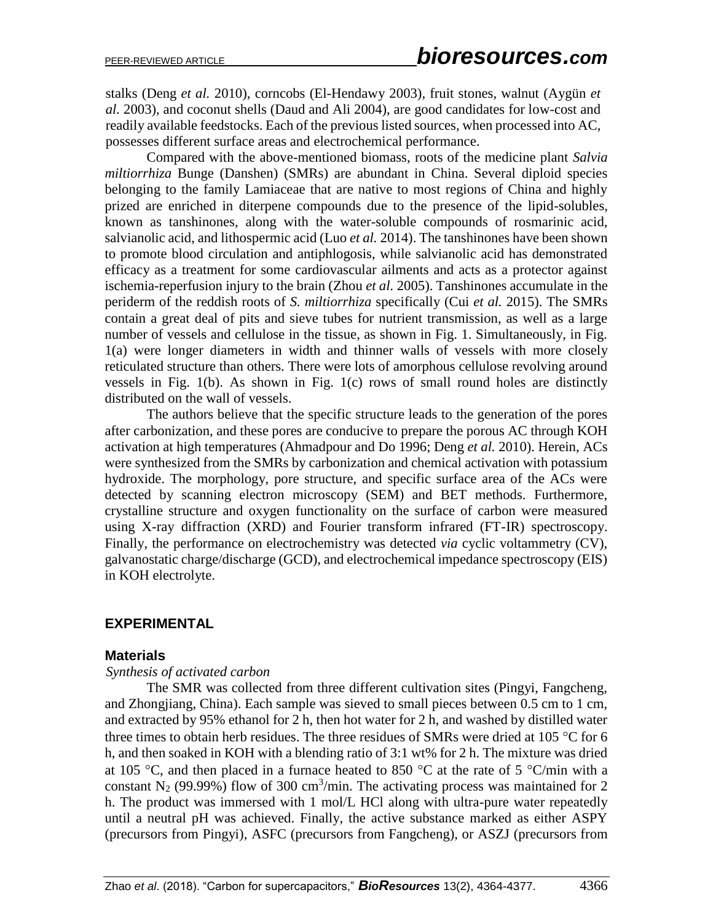stalks (Deng *et al.* 2010), corncobs (El-Hendawy 2003), fruit stones, walnut (Aygün *et al.* 2003), and coconut shells (Daud and Ali 2004), are good candidates for low-cost and readily available feedstocks. Each of the previous listed sources, when processed into AC, possesses different surface areas and electrochemical performance.

Compared with the above-mentioned biomass, roots of the medicine plant *Salvia miltiorrhiza* Bunge (Danshen) (SMRs) are abundant in China. Several diploid species belonging to the family Lamiaceae that are native to most regions of China and highly prized are enriched in diterpene compounds due to the presence of the lipid-solubles, known as tanshinones, along with the water-soluble compounds of rosmarinic acid, salvianolic acid, and lithospermic acid (Luo *et al.* 2014). The tanshinones have been shown to promote blood circulation and antiphlogosis, while salvianolic acid has demonstrated efficacy as a treatment for some cardiovascular ailments and acts as a protector against ischemia-reperfusion injury to the brain (Zhou *et al.* 2005). Tanshinones accumulate in the periderm of the reddish roots of *S. miltiorrhiza* specifically (Cui *et al.* 2015). The SMRs contain a great deal of pits and sieve tubes for nutrient transmission, as well as a large number of vessels and cellulose in the tissue, as shown in Fig. 1. Simultaneously, in Fig. 1(a) were longer diameters in width and thinner walls of vessels with more closely reticulated structure than others. There were lots of amorphous cellulose revolving around vessels in Fig. 1(b). As shown in Fig. 1(c) rows of small round holes are distinctly distributed on the wall of vessels.

The authors believe that the specific structure leads to the generation of the pores after carbonization, and these pores are conducive to prepare the porous AC through KOH activation at high temperatures (Ahmadpour and Do 1996; Deng *et al.* 2010). Herein, ACs were synthesized from the SMRs by carbonization and chemical activation with potassium hydroxide. The morphology, pore structure, and specific surface area of the ACs were detected by scanning electron microscopy (SEM) and BET methods. Furthermore, crystalline structure and oxygen functionality on the surface of carbon were measured using X-ray diffraction (XRD) and Fourier transform infrared (FT-IR) spectroscopy. Finally, the performance on electrochemistry was detected *via* cyclic voltammetry (CV), galvanostatic charge/discharge (GCD), and electrochemical impedance spectroscopy (EIS) in KOH electrolyte.

## **EXPERIMENTAL**

### **Materials**

#### *Synthesis of activated carbon*

The SMR was collected from three different cultivation sites (Pingyi, Fangcheng, and Zhongjiang, China). Each sample was sieved to small pieces between 0.5 cm to 1 cm, and extracted by 95% ethanol for 2 h, then hot water for 2 h, and washed by distilled water three times to obtain herb residues. The three residues of SMRs were dried at 105  $\degree$ C for 6 h, and then soaked in KOH with a blending ratio of 3:1 wt% for 2 h. The mixture was dried at 105 °C, and then placed in a furnace heated to 850 °C at the rate of 5 °C/min with a constant  $N_2$  (99.99%) flow of 300 cm<sup>3</sup>/min. The activating process was maintained for 2 h. The product was immersed with 1 mol/L HCl along with ultra-pure water repeatedly until a neutral pH was achieved. Finally, the active substance marked as either ASPY (precursors from Pingyi), ASFC (precursors from Fangcheng), or ASZJ (precursors from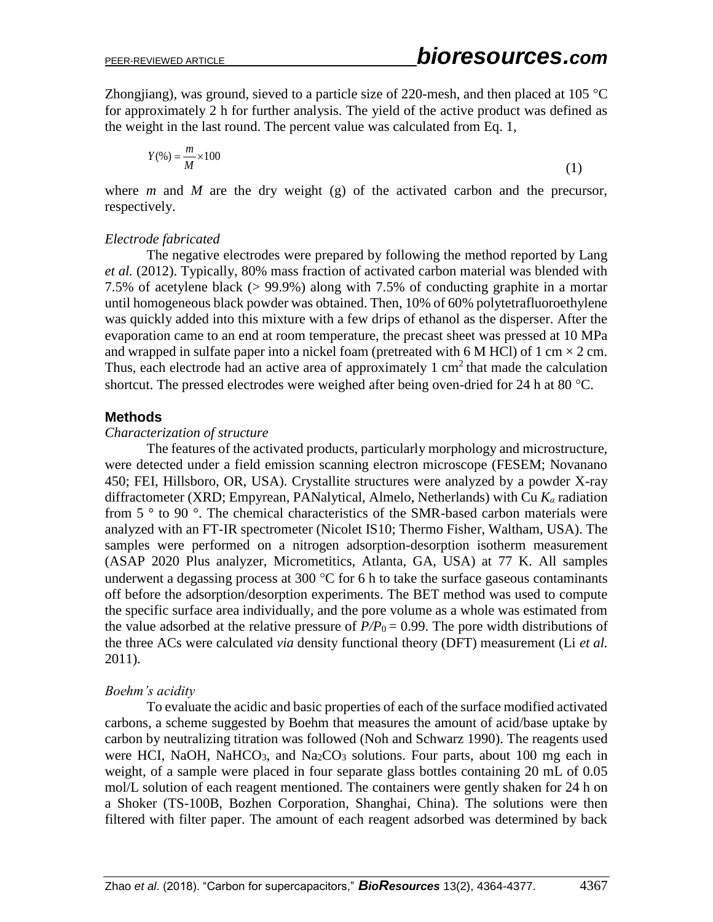Zhongiang), was ground, sieved to a particle size of 220-mesh, and then placed at 105  $^{\circ}$ C for approximately 2 h for further analysis. The yield of the active product was defined as the weight in the last round. The percent value was calculated from Eq. 1,

$$
Y(\%) = \frac{m}{M} \times 100\tag{1}
$$

where *m* and *M* are the dry weight (g) of the activated carbon and the precursor, respectively.

#### *Electrode fabricated*

The negative electrodes were prepared by following the method reported by Lang *et al.* (2012). Typically, 80% mass fraction of activated carbon material was blended with 7.5% of acetylene black (> 99.9%) along with 7.5% of conducting graphite in a mortar until homogeneous black powder was obtained. Then, 10% of 60% polytetrafluoroethylene was quickly added into this mixture with a few drips of ethanol as the disperser. After the evaporation came to an end at room temperature, the precast sheet was pressed at 10 MPa and wrapped in sulfate paper into a nickel foam (pretreated with 6 M HCl) of 1 cm  $\times$  2 cm. Thus, each electrode had an active area of approximately  $1 \text{ cm}^2$  that made the calculation shortcut. The pressed electrodes were weighed after being oven-dried for 24 h at 80  $^{\circ}$ C.

#### **Methods**

#### *Characterization of structure*

The features of the activated products, particularly morphology and microstructure, were detected under a field emission scanning electron microscope (FESEM; Novanano 450; FEI, Hillsboro, OR, USA). Crystallite structures were analyzed by a powder X-ray diffractometer (XRD; Empyrean, PANalytical, Almelo, Netherlands) with Cu *K<sup>α</sup>* radiation from 5 ° to 90 °. The chemical characteristics of the SMR-based carbon materials were analyzed with an FT-IR spectrometer (Nicolet IS10; Thermo Fisher, Waltham, USA). The samples were performed on a nitrogen adsorption-desorption isotherm measurement (ASAP 2020 Plus analyzer, Micrometitics, Atlanta, GA, USA) at 77 K. All samples underwent a degassing process at 300  $\degree$ C for 6 h to take the surface gaseous contaminants off before the adsorption/desorption experiments. The BET method was used to compute the specific surface area individually, and the pore volume as a whole was estimated from the value adsorbed at the relative pressure of  $P/P_0 = 0.99$ . The pore width distributions of the three ACs were calculated *via* density functional theory (DFT) measurement (Li *et al.* 2011).

#### *Boehm's acidity*

To evaluate the acidic and basic properties of each of the surface modified activated carbons, a scheme suggested by Boehm that measures the amount of acid/base uptake by carbon by neutralizing titration was followed (Noh and Schwarz 1990). The reagents used were HCI, NaOH, NaHCO<sub>3</sub>, and Na<sub>2</sub>CO<sub>3</sub> solutions. Four parts, about 100 mg each in weight, of a sample were placed in four separate glass bottles containing 20 mL of 0.05 mol/L solution of each reagent mentioned. The containers were gently shaken for 24 h on a Shoker (TS-100B, Bozhen Corporation, Shanghai, China). The solutions were then filtered with filter paper. The amount of each reagent adsorbed was determined by back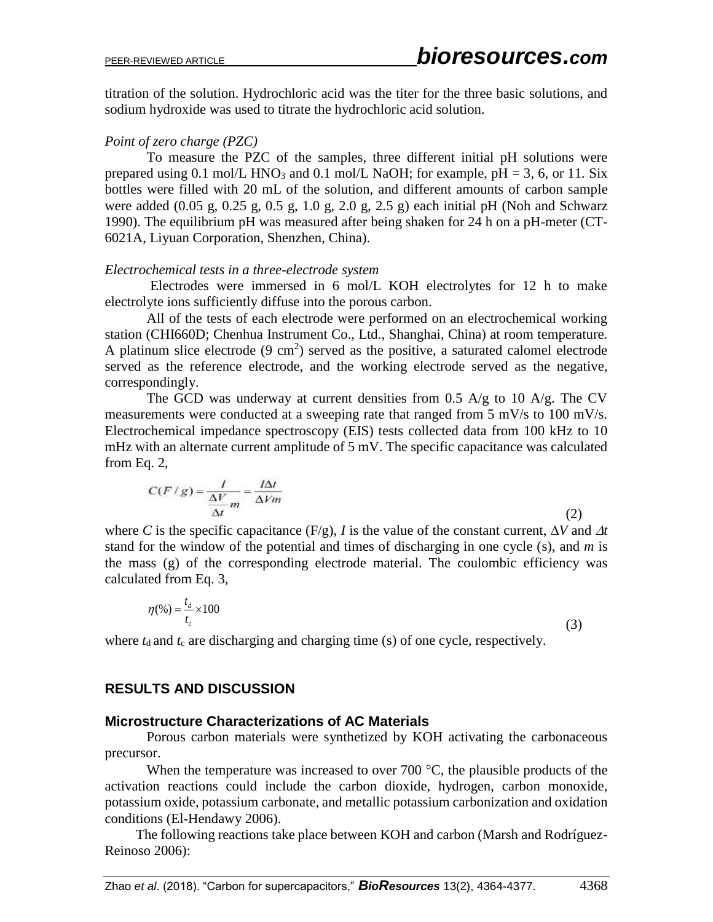titration of the solution. Hydrochloric acid was the titer for the three basic solutions, and sodium hydroxide was used to titrate the hydrochloric acid solution.

#### *Point of zero charge (PZC)*

To measure the PZC of the samples, three different initial pH solutions were prepared using 0.1 mol/L HNO<sub>3</sub> and 0.1 mol/L NaOH; for example,  $pH = 3$ , 6, or 11. Six bottles were filled with 20 mL of the solution, and different amounts of carbon sample were added  $(0.05 \text{ g}, 0.25 \text{ g}, 0.5 \text{ g}, 1.0 \text{ g}, 2.0 \text{ g}, 2.5 \text{ g})$  each initial pH (Noh and Schwarz 1990). The equilibrium pH was measured after being shaken for 24 h on a pH-meter (CT-6021A, Liyuan Corporation, Shenzhen, China).

#### *Electrochemical tests in a three-electrode system*

Electrodes were immersed in 6 mol/L KOH electrolytes for 12 h to make electrolyte ions sufficiently diffuse into the porous carbon.

All of the tests of each electrode were performed on an electrochemical working station (CHI660D; Chenhua Instrument Co., Ltd., Shanghai, China) at room temperature. A platinum slice electrode  $(9 \text{ cm}^2)$  served as the positive, a saturated calomel electrode served as the reference electrode, and the working electrode served as the negative, correspondingly.

The GCD was underway at current densities from 0.5 A/g to 10 A/g. The CV measurements were conducted at a sweeping rate that ranged from 5 mV/s to 100 mV/s. Electrochemical impedance spectroscopy (EIS) tests collected data from 100 kHz to 10 mHz with an alternate current amplitude of 5 mV. The specific capacitance was calculated from Eq. 2,

$$
C(F/g) = \frac{1}{\frac{\Delta V}{\Delta t}m} = \frac{I\Delta t}{\Delta Vm}
$$
\n(2)

where *C* is the specific capacitance (F/g), *I* is the value of the constant current,  $\Delta V$  and  $\Delta t$ stand for the window of the potential and times of discharging in one cycle (s), and *m* is the mass (g) of the corresponding electrode material. The coulombic efficiency was calculated from Eq. 3,

$$
\eta(\%) = \frac{t_d}{t_c} \times 100\tag{3}
$$

where  $t_d$  and  $t_c$  are discharging and charging time (s) of one cycle, respectively.

### **RESULTS AND DISCUSSION**

#### **Microstructure Characterizations of AC Materials**

Porous carbon materials were synthetized by KOH activating the carbonaceous precursor.

When the temperature was increased to over 700  $\degree$ C, the plausible products of the activation reactions could include the carbon dioxide, hydrogen, carbon monoxide, potassium oxide, potassium carbonate, and metallic potassium carbonization and oxidation conditions (El-Hendawy 2006).

The following reactions take place between KOH and carbon (Marsh and Rodríguez-Reinoso 2006):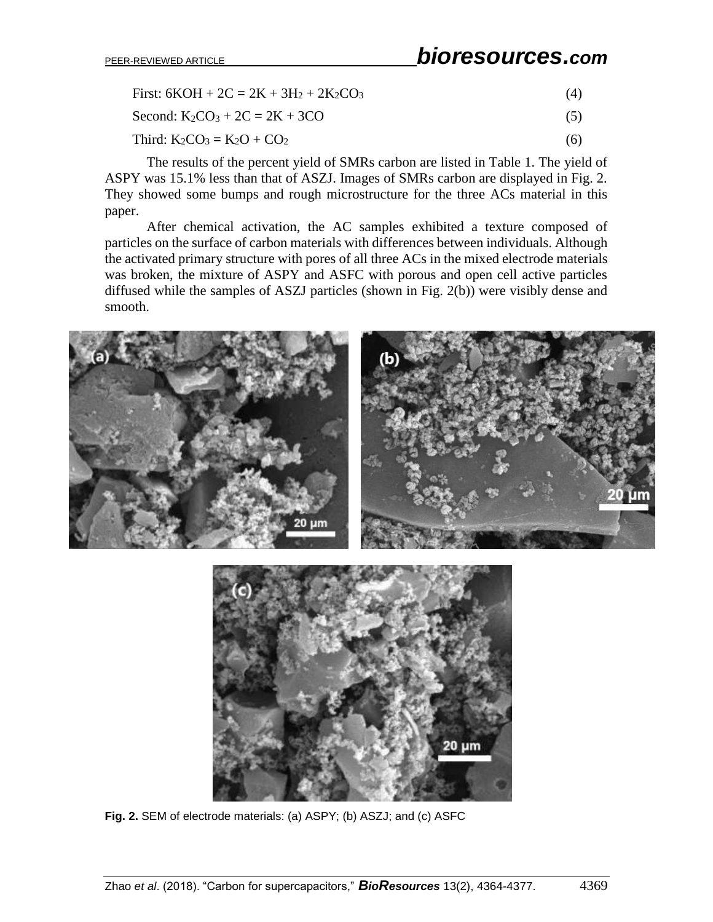First:  $6KOH + 2C = 2K + 3H<sub>2</sub> + 2K<sub>2</sub>CO<sub>3</sub>$ <sup>(4)</sup>

Second:  $K_2CO_3 + 2C = 2K + 3CO$  (5)

$$
Third: K2CO3 = K2O + CO2
$$
\n(6)

The results of the percent yield of SMRs carbon are listed in Table 1. The yield of ASPY was 15.1% less than that of ASZJ. Images of SMRs carbon are displayed in Fig. 2. They showed some bumps and rough microstructure for the three ACs material in this paper.

After chemical activation, the AC samples exhibited a texture composed of particles on the surface of carbon materials with differences between individuals. Although the activated primary structure with pores of all three ACs in the mixed electrode materials was broken, the mixture of ASPY and ASFC with porous and open cell active particles diffused while the samples of ASZJ particles (shown in Fig. 2(b)) were visibly dense and smooth.





**Fig. 2.** SEM of electrode materials: (a) ASPY; (b) ASZJ; and (c) ASFC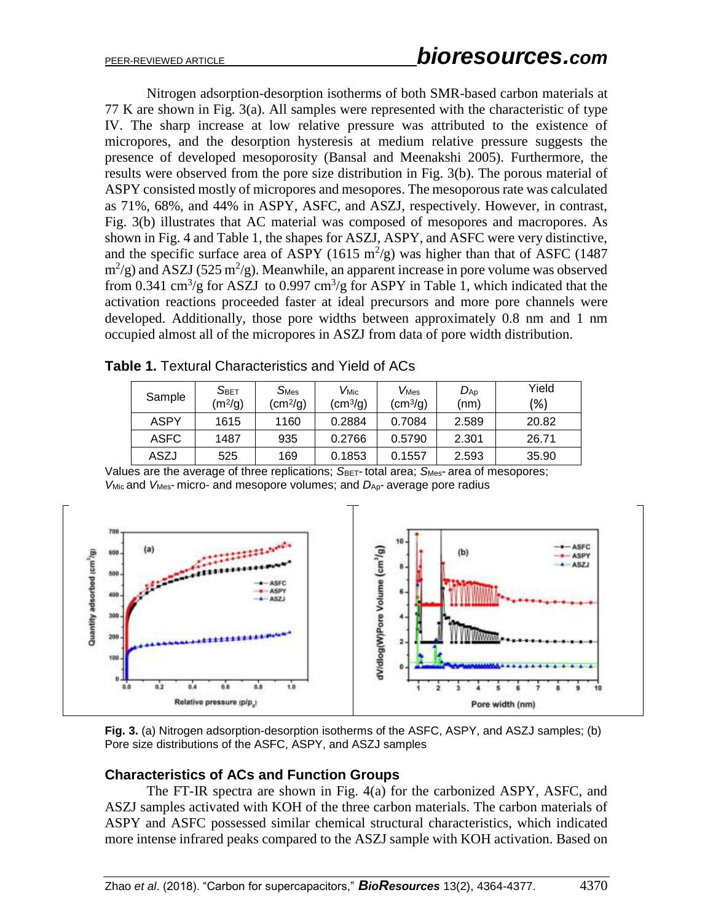Nitrogen adsorption-desorption isotherms of both SMR-based carbon materials at 77 K are shown in Fig. 3(a). All samples were represented with the characteristic of type IV. The sharp increase at low relative pressure was attributed to the existence of micropores, and the desorption hysteresis at medium relative pressure suggests the presence of developed mesoporosity (Bansal and Meenakshi 2005). Furthermore, the results were observed from the pore size distribution in Fig. 3(b). The porous material of ASPY consisted mostly of micropores and mesopores. The mesoporous rate was calculated as 71%, 68%, and 44% in ASPY, ASFC, and ASZJ, respectively. However, in contrast, Fig. 3(b) illustrates that AC material was composed of mesopores and macropores. As shown in Fig. 4 and Table 1, the shapes for ASZJ, ASPY, and ASFC were very distinctive, and the specific surface area of ASPY (1615 m<sup>2</sup>/g) was higher than that of ASFC (1487  $\text{m}^2/\text{g}$ ) and ASZJ (525 m<sup>2</sup>/g). Meanwhile, an apparent increase in pore volume was observed from 0.341 cm<sup>3</sup>/g for ASZJ to 0.997 cm<sup>3</sup>/g for ASPY in Table 1, which indicated that the activation reactions proceeded faster at ideal precursors and more pore channels were developed. Additionally, those pore widths between approximately 0.8 nm and 1 nm occupied almost all of the micropores in ASZJ from data of pore width distribution.

| Sample      | S <sub>BET</sub><br>$(m^2/g)$ | $S_{\text{Mes}}$<br>$\rm (cm^2/g)$ | $V_{\mathsf{Mic}}$<br>$\rm (cm^3\!/g)$ | $V_{\text{Mes}}$<br>$\text{(cm}^3\text{/g)}$ | $D_{AD}$<br>(nm) | Yield<br>(%) |
|-------------|-------------------------------|------------------------------------|----------------------------------------|----------------------------------------------|------------------|--------------|
| ASPY        | 1615                          | 1160                               | 0.2884                                 | 0.7084                                       | 2.589            | 20.82        |
| <b>ASFC</b> | 1487                          | 935                                | 0.2766                                 | 0.5790                                       | 2.301            | 26.71        |
| ASZJ        | 525                           | 169                                | 0.1853                                 | 0.1557                                       | 2.593            | 35.90        |

**Table 1.** Textural Characteristics and Yield of ACs

Values are the average of three replications; *S*BET- total area; *S*Mes- area of mesopores; *V*Mic and *V*Mes- micro- and mesopore volumes; and *D*Ap- average pore radius



**Fig. 3.** (a) Nitrogen adsorption-desorption isotherms of the ASFC, ASPY, and ASZJ samples; (b) Pore size distributions of the ASFC, ASPY, and ASZJ samples

### **Characteristics of ACs and Function Groups**

The FT-IR spectra are shown in Fig. 4(a) for the carbonized ASPY, ASFC, and ASZJ samples activated with KOH of the three carbon materials. The carbon materials of ASPY and ASFC possessed similar chemical structural characteristics, which indicated more intense infrared peaks compared to the ASZJ sample with KOH activation. Based on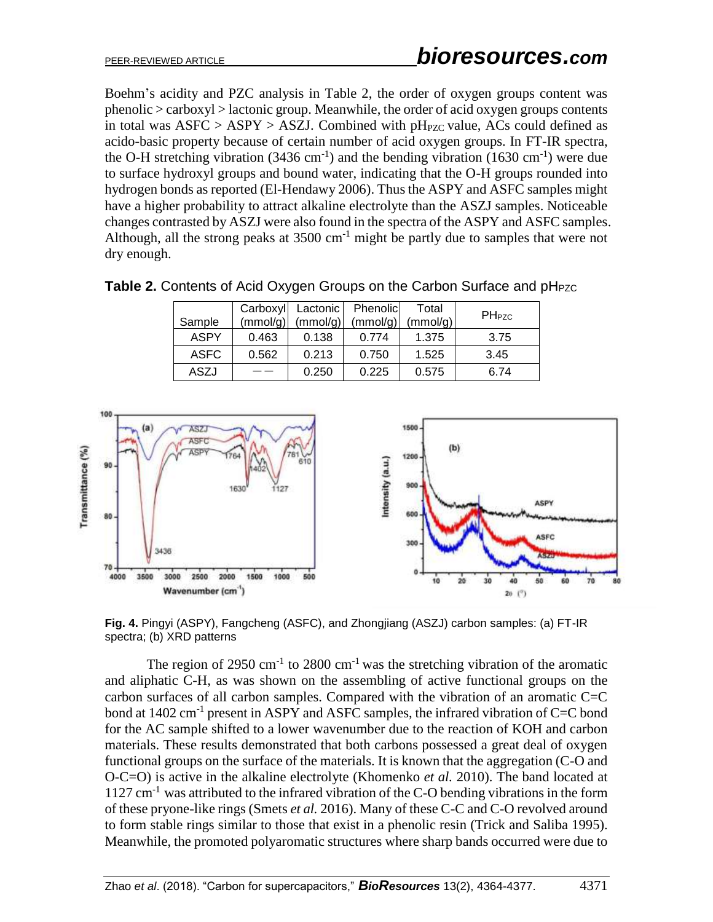Boehm's acidity and PZC analysis in Table 2, the order of oxygen groups content was phenolic > carboxyl > lactonic group. Meanwhile, the order of acid oxygen groups contents in total was  $ASFC > ASPY > ASZJ$ . Combined with pH<sub>PZC</sub> value, ACs could defined as acido-basic property because of certain number of acid oxygen groups. In FT-IR spectra, the O-H stretching vibration  $(3436 \text{ cm}^{-1})$  and the bending vibration  $(1630 \text{ cm}^{-1})$  were due to surface hydroxyl groups and bound water, indicating that the O-H groups rounded into hydrogen bonds as reported (El-Hendawy 2006). Thus the ASPY and ASFC samples might have a higher probability to attract alkaline electrolyte than the ASZJ samples. Noticeable changes contrasted by ASZJ were also found in the spectra of the ASPY and ASFC samples. Although, all the strong peaks at  $3500 \text{ cm}^{-1}$  might be partly due to samples that were not dry enough.

|  |  | Table 2. Contents of Acid Oxygen Groups on the Carbon Surface and pH <sub>PZC</sub> |
|--|--|-------------------------------------------------------------------------------------|
|--|--|-------------------------------------------------------------------------------------|

| Sample      | Carboxyl<br>(mmol/g) | Lactonic<br>(mmol/g) | Phenolic<br>(mmol/g) | Total<br>(mmol/g) | <b>PHPZC</b> |
|-------------|----------------------|----------------------|----------------------|-------------------|--------------|
|             |                      |                      |                      |                   |              |
| <b>ASPY</b> | 0.463                | 0.138                | 0.774                | 1.375             | 3.75         |
| <b>ASFC</b> | 0.562                | 0.213                | 0.750                | 1.525             | 3.45         |
| ASZJ        |                      | 0.250                | 0.225                | 0.575             | 6.74         |



**Fig. 4.** Pingyi (ASPY), Fangcheng (ASFC), and Zhongjiang (ASZJ) carbon samples: (a) FT-IR spectra; (b) XRD patterns

The region of 2950 cm<sup>-1</sup> to 2800 cm<sup>-1</sup> was the stretching vibration of the aromatic and aliphatic C-H, as was shown on the assembling of active functional groups on the carbon surfaces of all carbon samples. Compared with the vibration of an aromatic C=C bond at 1402 cm<sup>-1</sup> present in ASPY and ASFC samples, the infrared vibration of C=C bond for the AC sample shifted to a lower wavenumber due to the reaction of KOH and carbon materials. These results demonstrated that both carbons possessed a great deal of oxygen functional groups on the surface of the materials. It is known that the aggregation (C-O and O-C=O) is active in the alkaline electrolyte (Khomenko *et al.* 2010). The band located at  $1127 \text{ cm}^{-1}$  was attributed to the infrared vibration of the C-O bending vibrations in the form of these pryone-like rings (Smets *et al.* 2016). Many of these C-C and C-O revolved around to form stable rings similar to those that exist in a phenolic resin (Trick and Saliba 1995). Meanwhile, the promoted polyaromatic structures where sharp bands occurred were due to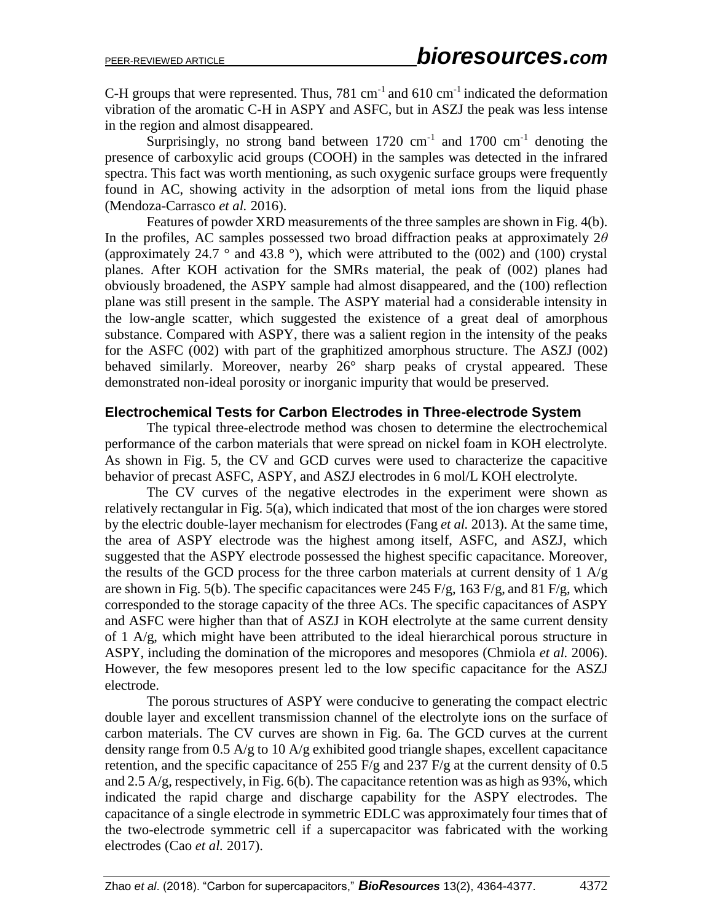C-H groups that were represented. Thus,  $781 \text{ cm}^{-1}$  and  $610 \text{ cm}^{-1}$  indicated the deformation vibration of the aromatic C-H in ASPY and ASFC, but in ASZJ the peak was less intense in the region and almost disappeared.

Surprisingly, no strong band between  $1720 \text{ cm}^{-1}$  and  $1700 \text{ cm}^{-1}$  denoting the presence of carboxylic acid groups (COOH) in the samples was detected in the infrared spectra. This fact was worth mentioning, as such oxygenic surface groups were frequently found in AC, showing activity in the adsorption of metal ions from the liquid phase (Mendoza-Carrasco *et al.* 2016).

Features of powder XRD measurements of the three samples are shown in Fig. 4(b). In the profiles, AC samples possessed two broad diffraction peaks at approximately 2*θ* (approximately 24.7  $\degree$  and 43.8  $\degree$ ), which were attributed to the (002) and (100) crystal planes. After KOH activation for the SMRs material, the peak of (002) planes had obviously broadened, the ASPY sample had almost disappeared, and the (100) reflection plane was still present in the sample. The ASPY material had a considerable intensity in the low-angle scatter, which suggested the existence of a great deal of amorphous substance. Compared with ASPY, there was a salient region in the intensity of the peaks for the ASFC (002) with part of the graphitized amorphous structure. The ASZJ (002) behaved similarly. Moreover, nearby 26° sharp peaks of crystal appeared. These demonstrated non-ideal porosity or inorganic impurity that would be preserved.

### **Electrochemical Tests for Carbon Electrodes in Three-electrode System**

The typical three-electrode method was chosen to determine the electrochemical performance of the carbon materials that were spread on nickel foam in KOH electrolyte. As shown in Fig. 5, the CV and GCD curves were used to characterize the capacitive behavior of precast ASFC, ASPY, and ASZJ electrodes in 6 mol/L KOH electrolyte.

The CV curves of the negative electrodes in the experiment were shown as relatively rectangular in Fig. 5(a), which indicated that most of the ion charges were stored by the electric double-layer mechanism for electrodes (Fang *et al.* 2013). At the same time, the area of ASPY electrode was the highest among itself, ASFC, and ASZJ, which suggested that the ASPY electrode possessed the highest specific capacitance. Moreover, the results of the GCD process for the three carbon materials at current density of  $1 \text{ A/g}$ are shown in Fig. 5(b). The specific capacitances were 245 F/g, 163 F/g, and 81 F/g, which corresponded to the storage capacity of the three ACs. The specific capacitances of ASPY and ASFC were higher than that of ASZJ in KOH electrolyte at the same current density of 1 A/g, which might have been attributed to the ideal hierarchical porous structure in ASPY, including the domination of the micropores and mesopores (Chmiola *et al.* 2006). However, the few mesopores present led to the low specific capacitance for the ASZJ electrode.

The porous structures of ASPY were conducive to generating the compact electric double layer and excellent transmission channel of the electrolyte ions on the surface of carbon materials. The CV curves are shown in Fig. 6a. The GCD curves at the current density range from 0.5 A/g to 10 A/g exhibited good triangle shapes, excellent capacitance retention, and the specific capacitance of 255  $F/g$  and 237  $F/g$  at the current density of 0.5 and 2.5 A/g, respectively, in Fig. 6(b). The capacitance retention was as high as 93%, which indicated the rapid charge and discharge capability for the ASPY electrodes. The capacitance of a single electrode in symmetric EDLC was approximately four times that of the two-electrode symmetric cell if a supercapacitor was fabricated with the working electrodes (Cao *et al.* 2017).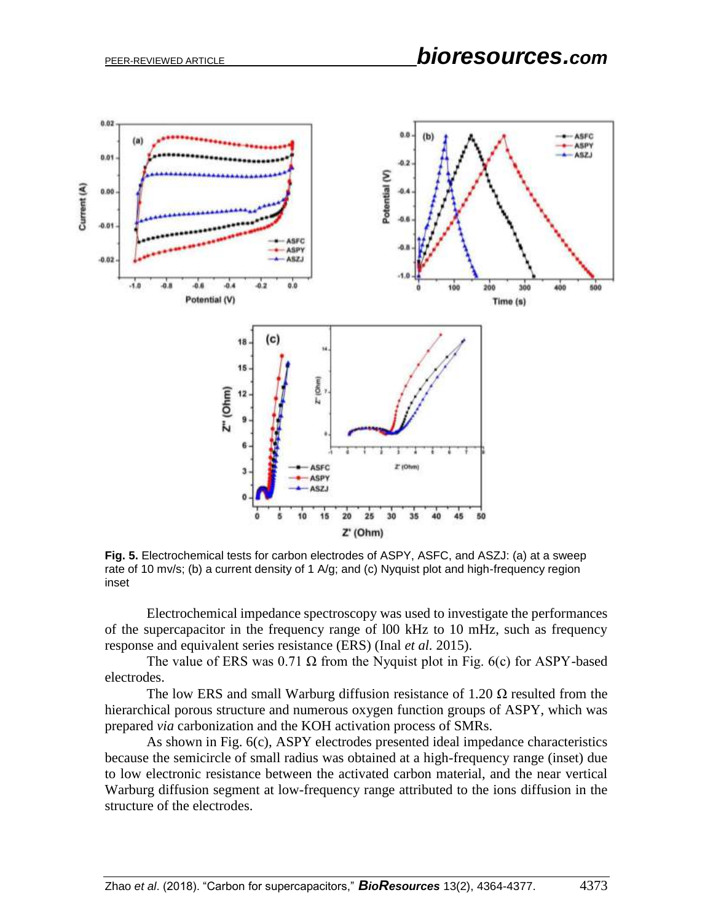

**Fig. 5.** Electrochemical tests for carbon electrodes of ASPY, ASFC, and ASZJ: (a) at a sweep rate of 10 mv/s; (b) a current density of 1 A/g; and (c) Nyquist plot and high-frequency region inset

Electrochemical impedance spectroscopy was used to investigate the performances of the supercapacitor in the frequency range of l00 kHz to 10 mHz, such as frequency response and equivalent series resistance (ERS) (Inal *et al.* 2015).

The value of ERS was 0.71  $\Omega$  from the Nyquist plot in Fig. 6(c) for ASPY-based electrodes.

The low ERS and small Warburg diffusion resistance of 1.20  $\Omega$  resulted from the hierarchical porous structure and numerous oxygen function groups of ASPY, which was prepared *via* carbonization and the KOH activation process of SMRs.

As shown in Fig. 6(c), ASPY electrodes presented ideal impedance characteristics because the semicircle of small radius was obtained at a high-frequency range (inset) due to low electronic resistance between the activated carbon material, and the near vertical Warburg diffusion segment at low-frequency range attributed to the ions diffusion in the structure of the electrodes.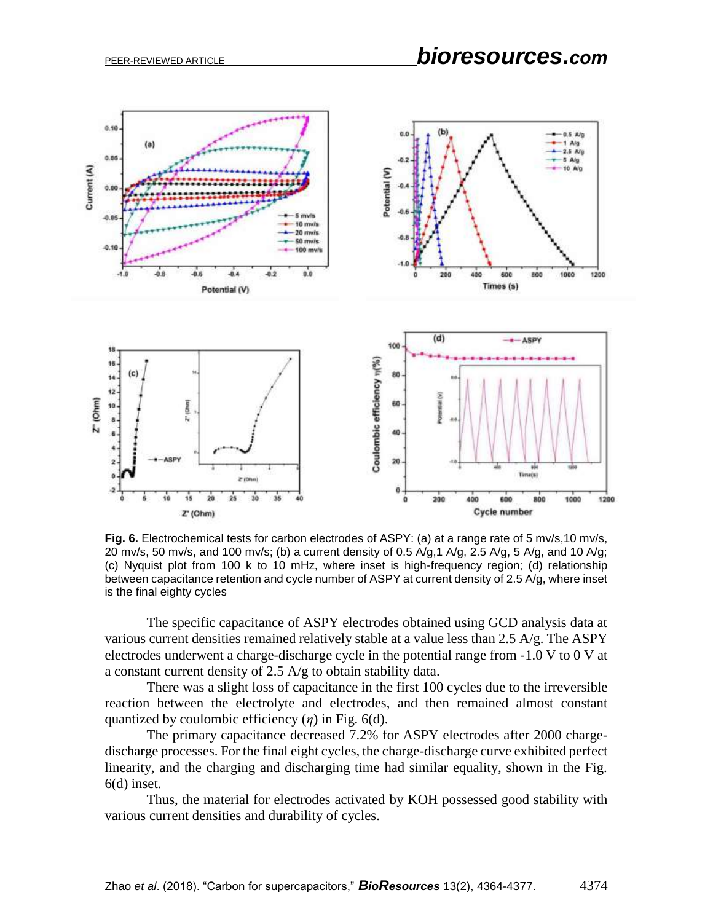

Fig. 6. Electrochemical tests for carbon electrodes of ASPY: (a) at a range rate of 5 mv/s,10 mv/s, 20 mv/s, 50 mv/s, and 100 mv/s; (b) a current density of 0.5 A/g, 1 A/g, 2.5 A/g, 5 A/g, and 10 A/g; (c) Nyquist plot from 100 k to 10 mHz, where inset is high-frequency region; (d) relationship between capacitance retention and cycle number of ASPY at current density of 2.5 A/g, where inset is the final eighty cycles

The specific capacitance of ASPY electrodes obtained using GCD analysis data at various current densities remained relatively stable at a value less than 2.5 A/g. The ASPY electrodes underwent a charge-discharge cycle in the potential range from -1.0 V to 0 V at a constant current density of 2.5 A/g to obtain stability data.

There was a slight loss of capacitance in the first 100 cycles due to the irreversible reaction between the electrolyte and electrodes, and then remained almost constant quantized by coulombic efficiency (*η*) in Fig. 6(d)*.* 

The primary capacitance decreased 7.2% for ASPY electrodes after 2000 chargedischarge processes. For the final eight cycles, the charge-discharge curve exhibited perfect linearity, and the charging and discharging time had similar equality, shown in the Fig. 6(d) inset.

Thus, the material for electrodes activated by KOH possessed good stability with various current densities and durability of cycles.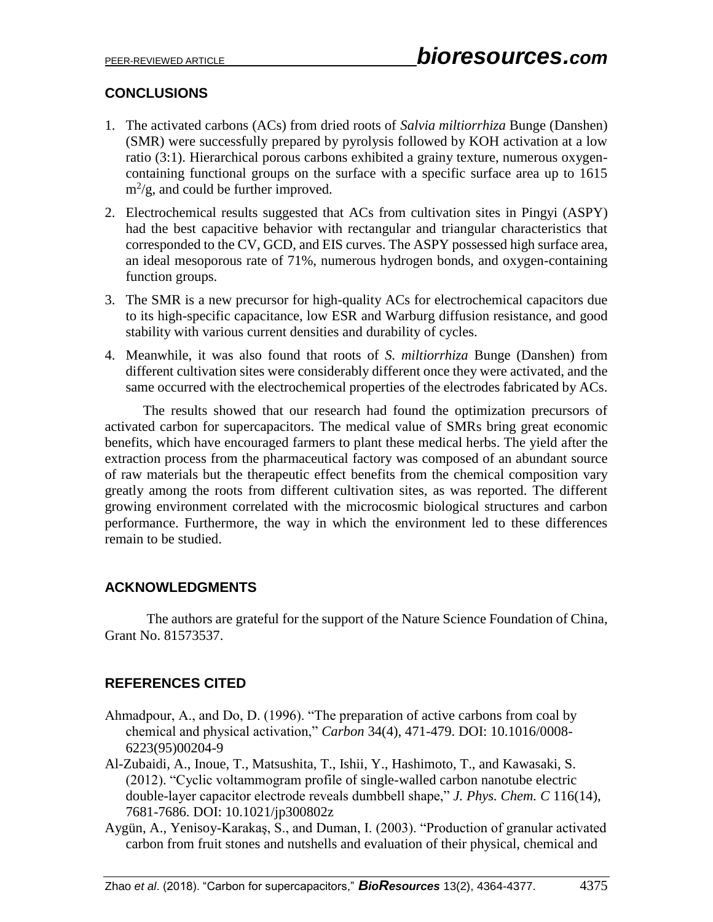# **CONCLUSIONS**

- 1. The activated carbons (ACs) from dried roots of *Salvia miltiorrhiza* Bunge (Danshen) (SMR) were successfully prepared by pyrolysis followed by KOH activation at a low ratio (3:1). Hierarchical porous carbons exhibited a grainy texture, numerous oxygencontaining functional groups on the surface with a specific surface area up to 1615  $\text{m}^2/\text{g}$ , and could be further improved.
- 2. Electrochemical results suggested that ACs from cultivation sites in Pingyi (ASPY) had the best capacitive behavior with rectangular and triangular characteristics that corresponded to the CV, GCD, and EIS curves. The ASPY possessed high surface area, an ideal mesoporous rate of 71%, numerous hydrogen bonds, and oxygen-containing function groups.
- 3. The SMR is a new precursor for high-quality ACs for electrochemical capacitors due to its high-specific capacitance, low ESR and Warburg diffusion resistance, and good stability with various current densities and durability of cycles.
- 4. Meanwhile, it was also found that roots of *S. miltiorrhiza* Bunge (Danshen) from different cultivation sites were considerably different once they were activated, and the same occurred with the electrochemical properties of the electrodes fabricated by ACs.

 The results showed that our research had found the optimization precursors of activated carbon for supercapacitors. The medical value of SMRs bring great economic benefits, which have encouraged farmers to plant these medical herbs. The yield after the extraction process from the pharmaceutical factory was composed of an abundant source of raw materials but the therapeutic effect benefits from the chemical composition vary greatly among the roots from different cultivation sites, as was reported. The different growing environment correlated with the microcosmic biological structures and carbon performance. Furthermore, the way in which the environment led to these differences remain to be studied.

# **ACKNOWLEDGMENTS**

The authors are grateful for the support of the Nature Science Foundation of China, Grant No. 81573537.

# **REFERENCES CITED**

- Ahmadpour, A., and Do, D. (1996). "The preparation of active carbons from coal by chemical and physical activation," *Carbon* 34(4), 471-479. DOI: 10.1016/0008- 6223(95)00204-9
- Al-Zubaidi, A., Inoue, T., Matsushita, T., Ishii, Y., Hashimoto, T., and Kawasaki, S. (2012). "Cyclic voltammogram profile of single-walled carbon nanotube electric double-layer capacitor electrode reveals dumbbell shape," *J. Phys. Chem. C* 116(14), 7681-7686. DOI: 10.1021/jp300802z
- Aygün, A., Yenisoy-Karakaş, S., and Duman, I. (2003). "Production of granular activated carbon from fruit stones and nutshells and evaluation of their physical, chemical and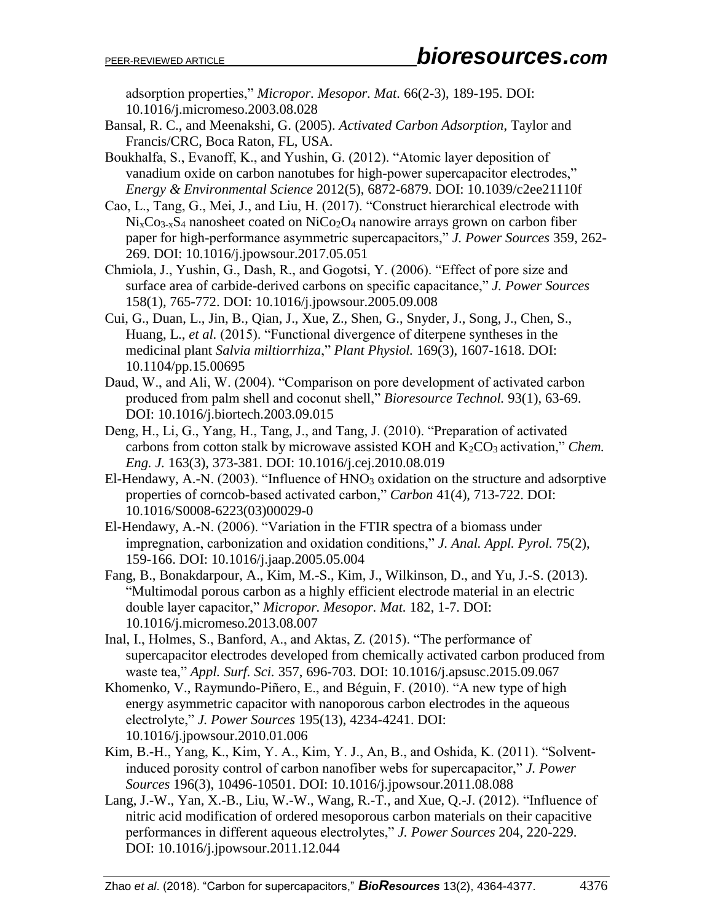adsorption properties," *Micropor. Mesopor. Mat.* 66(2-3), 189-195. DOI: 10.1016/j.micromeso.2003.08.028

Bansal, R. C., and Meenakshi, G. (2005). *Activated Carbon Adsorption*, Taylor and Francis/CRC, Boca Raton, FL, USA.

Boukhalfa, S., Evanoff, K., and Yushin, G. (2012). "Atomic layer deposition of vanadium oxide on carbon nanotubes for high-power supercapacitor electrodes," *Energy & Environmental Science* 2012(5), 6872-6879. DOI: 10.1039/c2ee21110f

- Cao, L., Tang, G., Mei, J., and Liu, H. (2017). "Construct hierarchical electrode with  $Ni<sub>x</sub>Co<sub>3-x</sub>S<sub>4</sub>$  nanosheet coated on  $NiCo<sub>2</sub>O<sub>4</sub>$  nanowire arrays grown on carbon fiber paper for high-performance asymmetric supercapacitors," *J. Power Sources* 359, 262- 269. DOI: 10.1016/j.jpowsour.2017.05.051
- Chmiola, J., Yushin, G., Dash, R., and Gogotsi, Y. (2006). "Effect of pore size and surface area of carbide-derived carbons on specific capacitance," *J. Power Sources* 158(1), 765-772. DOI: 10.1016/j.jpowsour.2005.09.008
- Cui, G., Duan, L., Jin, B., Qian, J., Xue, Z., Shen, G., Snyder, J., Song, J., Chen, S., Huang, L., *et al.* (2015). "Functional divergence of diterpene syntheses in the medicinal plant *Salvia miltiorrhiza*," *Plant Physiol.* 169(3), 1607-1618. DOI: 10.1104/pp.15.00695
- Daud, W., and Ali, W. (2004). "Comparison on pore development of activated carbon produced from palm shell and coconut shell," *Bioresource Technol.* 93(1), 63-69. DOI: 10.1016/j.biortech.2003.09.015
- Deng, H., Li, G., Yang, H., Tang, J., and Tang, J. (2010). "Preparation of activated carbons from cotton stalk by microwave assisted KOH and K<sub>2</sub>CO<sub>3</sub> activation," *Chem. Eng. J.* 163(3), 373-381. DOI: 10.1016/j.cej.2010.08.019
- El-Hendawy, A.-N. (2003). "Influence of  $HNO<sub>3</sub>$  oxidation on the structure and adsorptive properties of corncob-based activated carbon," *Carbon* 41(4), 713-722. DOI: 10.1016/S0008-6223(03)00029-0
- El-Hendawy, A.-N. (2006). "Variation in the FTIR spectra of a biomass under impregnation, carbonization and oxidation conditions," *J. Anal. Appl. Pyrol.* 75(2), 159-166. DOI: 10.1016/j.jaap.2005.05.004
- Fang, B., Bonakdarpour, A., Kim, M.-S., Kim, J., Wilkinson, D., and Yu, J.-S. (2013). "Multimodal porous carbon as a highly efficient electrode material in an electric double layer capacitor," *Micropor. Mesopor. Mat.* 182, 1-7. DOI: 10.1016/j.micromeso.2013.08.007
- Inal, I., Holmes, S., Banford, A., and Aktas, Z. (2015). "The performance of supercapacitor electrodes developed from chemically activated carbon produced from waste tea," *Appl. Surf. Sci.* 357, 696-703. DOI: 10.1016/j.apsusc.2015.09.067
- Khomenko, V., Raymundo-Piñero, E., and Béguin, F. (2010). "A new type of high energy asymmetric capacitor with nanoporous carbon electrodes in the aqueous electrolyte," *J. Power Sources* 195(13), 4234-4241. DOI: 10.1016/j.jpowsour.2010.01.006
- Kim, B.-H., Yang, K., Kim, Y. A., Kim, Y. J., An, B., and Oshida, K. (2011). "Solventinduced porosity control of carbon nanofiber webs for supercapacitor," *J. Power Sources* 196(3), 10496-10501. DOI: 10.1016/j.jpowsour.2011.08.088
- Lang, J.-W., Yan, X.-B., Liu, W.-W., Wang, R.-T., and Xue, Q.-J. (2012). "Influence of nitric acid modification of ordered mesoporous carbon materials on their capacitive performances in different aqueous electrolytes," *J. Power Sources* 204, 220-229. DOI: 10.1016/j.jpowsour.2011.12.044